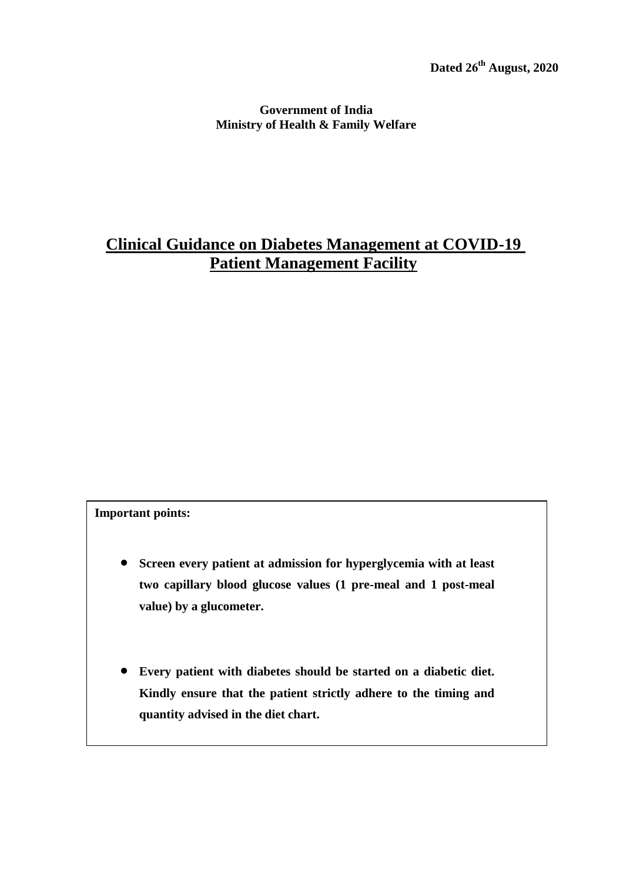# **Government of India Ministry of Health & Family Welfare**

# **Clinical Guidance on Diabetes Management at COVID-19 Patient Management Facility**

# **Important points:**

- **Screen every patient at admission for hyperglycemia with at least two capillary blood glucose values (1 pre-meal and 1 post-meal value) by a glucometer.**
- **Every patient with diabetes should be started on a diabetic diet. Kindly ensure that the patient strictly adhere to the timing and quantity advised in the diet chart.**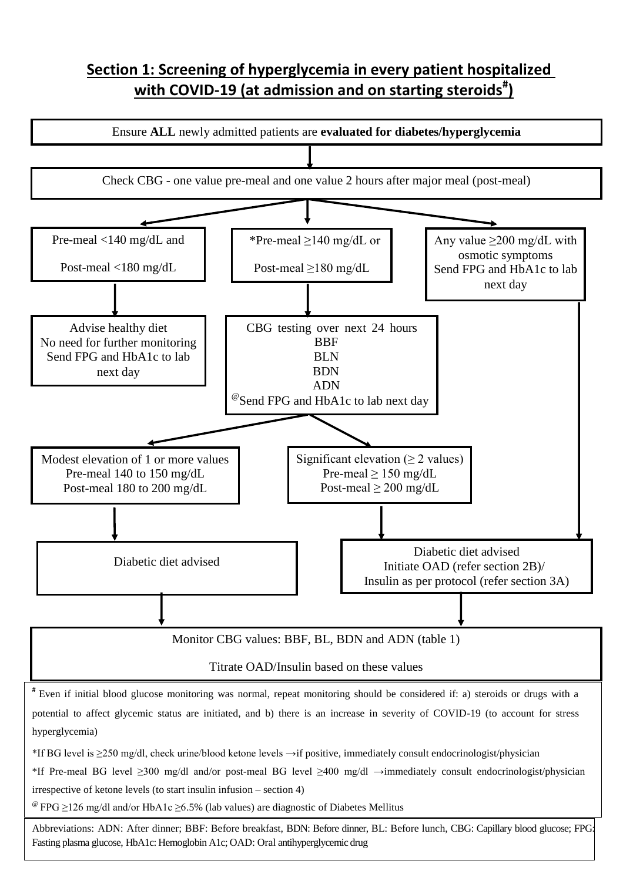# **Section 1: Screening of hyperglycemia in every patient hospitalized with COVID-19 (at admission and on starting steroids# )**

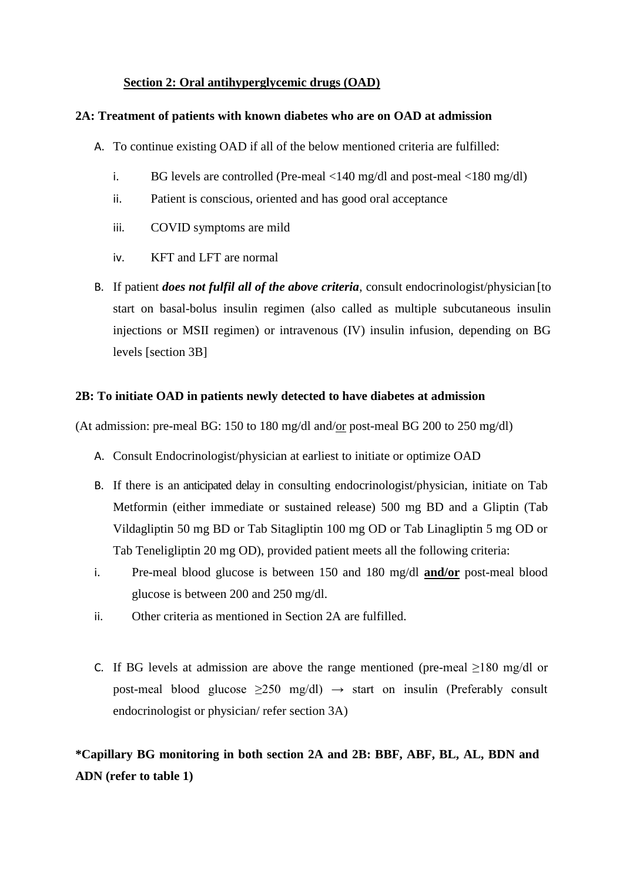# **Section 2: Oral antihyperglycemic drugs (OAD)**

# **2A: Treatment of patients with known diabetes who are on OAD at admission**

- A. To continue existing OAD if all of the below mentioned criteria are fulfilled:
	- i. BG levels are controlled (Pre-meal <140 mg/dl and post-meal <180 mg/dl)
	- ii. Patient is conscious, oriented and has good oral acceptance
	- iii. COVID symptoms are mild
	- iv. KFT and LFT are normal
- B. If patient *does not fulfil all of the above criteria*, consult endocrinologist/physician [to start on basal-bolus insulin regimen (also called as multiple subcutaneous insulin injections or MSII regimen) or intravenous (IV) insulin infusion, depending on BG levels [section 3B]

# **2B: To initiate OAD in patients newly detected to have diabetes at admission**

(At admission: pre-meal BG: 150 to 180 mg/dl and/or post-meal BG 200 to 250 mg/dl)

- A. Consult Endocrinologist/physician at earliest to initiate or optimize OAD
- B. If there is an anticipated delay in consulting endocrinologist/physician, initiate on Tab Metformin (either immediate or sustained release) 500 mg BD and a Gliptin (Tab Vildagliptin 50 mg BD or Tab Sitagliptin 100 mg OD or Tab Linagliptin 5 mg OD or Tab Teneligliptin 20 mg OD), provided patient meets all the following criteria:
- i. Pre-meal blood glucose is between 150 and 180 mg/dl **and/or** post-meal blood glucose is between 200 and 250 mg/dl.
- ii. Other criteria as mentioned in Section 2A are fulfilled.
- C. If BG levels at admission are above the range mentioned (pre-meal  $\geq$ 180 mg/dl or post-meal blood glucose  $\geq 250$  mg/dl)  $\rightarrow$  start on insulin (Preferably consult endocrinologist or physician/ refer section 3A)

**\*Capillary BG monitoring in both section 2A and 2B: BBF, ABF, BL, AL, BDN and ADN (refer to table 1)**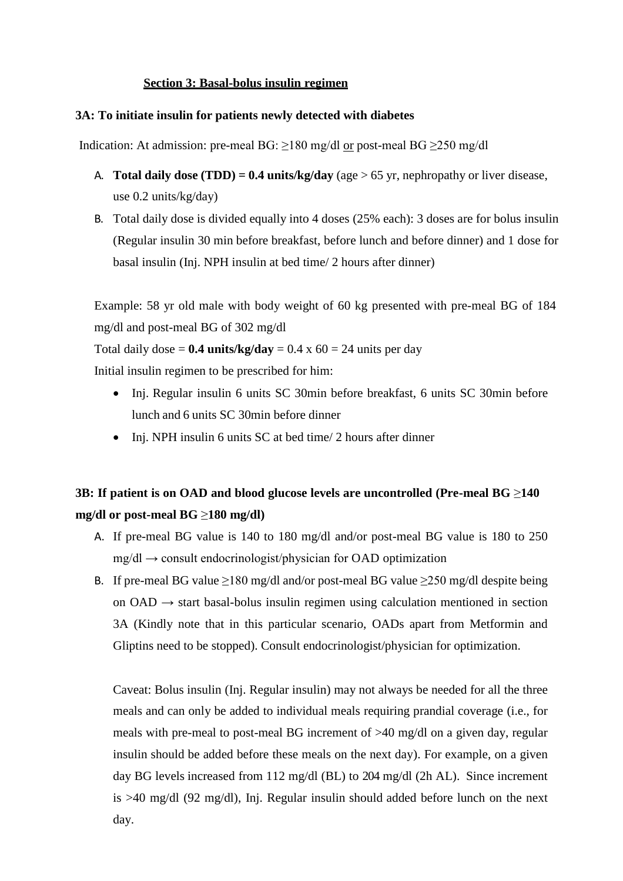#### **Section 3: Basal-bolus insulin regimen**

#### **3A: To initiate insulin for patients newly detected with diabetes**

Indication: At admission: pre-meal BG:  $\geq$ 180 mg/dl or post-meal BG  $\geq$ 250 mg/dl

- A. **Total daily dose (TDD) = 0.4 units/kg/day** (age > 65 yr, nephropathy or liver disease, use 0.2 units/kg/day)
- B. Total daily dose is divided equally into 4 doses (25% each): 3 doses are for bolus insulin (Regular insulin 30 min before breakfast, before lunch and before dinner) and 1 dose for basal insulin (Inj. NPH insulin at bed time/ 2 hours after dinner)

Example: 58 yr old male with body weight of 60 kg presented with pre-meal BG of 184 mg/dl and post-meal BG of 302 mg/dl

Total daily dose =  $0.4$  units/kg/day =  $0.4$  x  $60 = 24$  units per day

Initial insulin regimen to be prescribed for him:

- Inj. Regular insulin 6 units SC 30min before breakfast, 6 units SC 30min before lunch and 6 units SC 30min before dinner
- Inj. NPH insulin 6 units SC at bed time/ 2 hours after dinner

# **3B: If patient is on OAD and blood glucose levels are uncontrolled (Pre-meal BG** ≥**140 mg/dl or post-meal BG** ≥**180 mg/dl)**

- A. If pre-meal BG value is 140 to 180 mg/dl and/or post-meal BG value is 180 to 250  $mg/dl \rightarrow$  consult endocrinologist/physician for OAD optimization
- B. If pre-meal BG value  $\geq 180$  mg/dl and/or post-meal BG value  $\geq 250$  mg/dl despite being on  $OAD \rightarrow$  start basal-bolus insulin regimen using calculation mentioned in section 3A (Kindly note that in this particular scenario, OADs apart from Metformin and Gliptins need to be stopped). Consult endocrinologist/physician for optimization.

Caveat: Bolus insulin (Inj. Regular insulin) may not always be needed for all the three meals and can only be added to individual meals requiring prandial coverage (i.e., for meals with pre-meal to post-meal BG increment of >40 mg/dl on a given day, regular insulin should be added before these meals on the next day). For example, on a given day BG levels increased from 112 mg/dl (BL) to 204 mg/dl (2h AL). Since increment is >40 mg/dl (92 mg/dl), Inj. Regular insulin should added before lunch on the next day.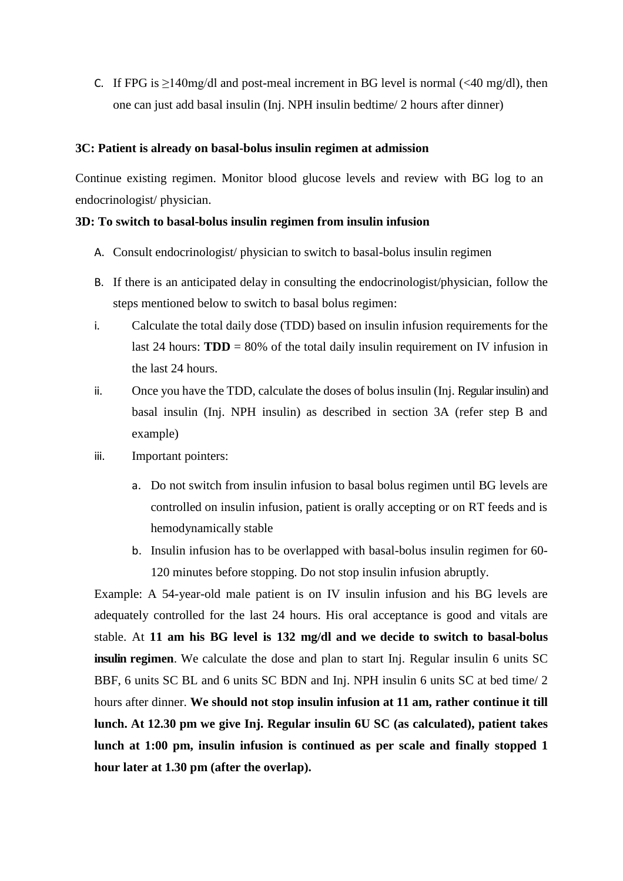C. If FPG is  $\geq$ 140mg/dl and post-meal increment in BG level is normal (<40 mg/dl), then one can just add basal insulin (Inj. NPH insulin bedtime/ 2 hours after dinner)

#### **3C: Patient is already on basal-bolus insulin regimen at admission**

Continue existing regimen. Monitor blood glucose levels and review with BG log to an endocrinologist/ physician.

#### **3D: To switch to basal-bolus insulin regimen from insulin infusion**

- A. Consult endocrinologist/ physician to switch to basal-bolus insulin regimen
- B. If there is an anticipated delay in consulting the endocrinologist/physician, follow the steps mentioned below to switch to basal bolus regimen:
- i. Calculate the total daily dose (TDD) based on insulin infusion requirements for the last 24 hours: **TDD** = 80% of the total daily insulin requirement on IV infusion in the last 24 hours.
- ii. Once you have the TDD, calculate the doses of bolus insulin (Inj. Regular insulin) and basal insulin (Inj. NPH insulin) as described in section 3A (refer step B and example)
- iii. Important pointers:
	- a. Do not switch from insulin infusion to basal bolus regimen until BG levels are controlled on insulin infusion, patient is orally accepting or on RT feeds and is hemodynamically stable
	- b. Insulin infusion has to be overlapped with basal-bolus insulin regimen for 60- 120 minutes before stopping. Do not stop insulin infusion abruptly.

Example: A 54-year-old male patient is on IV insulin infusion and his BG levels are adequately controlled for the last 24 hours. His oral acceptance is good and vitals are stable. At **11 am his BG level is 132 mg/dl and we decide to switch to basal-bolus insulin regimen**. We calculate the dose and plan to start Inj. Regular insulin 6 units SC BBF, 6 units SC BL and 6 units SC BDN and Inj. NPH insulin 6 units SC at bed time/ 2 hours after dinner. **We should not stop insulin infusion at 11 am, rather continue it till lunch. At 12.30 pm we give Inj. Regular insulin 6U SC (as calculated), patient takes lunch at 1:00 pm, insulin infusion is continued as per scale and finally stopped 1 hour later at 1.30 pm (after the overlap).**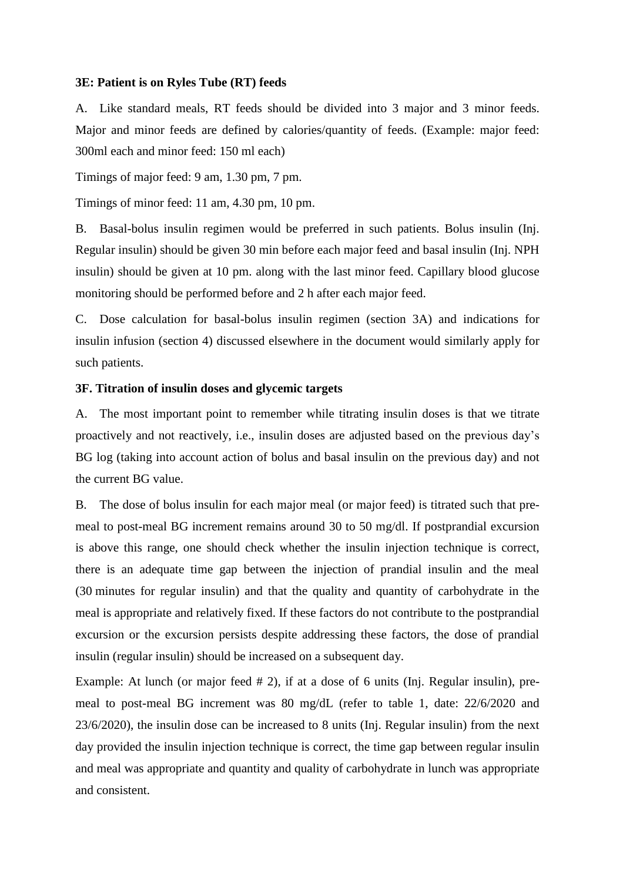#### **3E: Patient is on Ryles Tube (RT) feeds**

A. Like standard meals, RT feeds should be divided into 3 major and 3 minor feeds. Major and minor feeds are defined by calories/quantity of feeds. (Example: major feed: 300ml each and minor feed: 150 ml each)

Timings of major feed: 9 am, 1.30 pm, 7 pm.

Timings of minor feed: 11 am, 4.30 pm, 10 pm.

B. Basal-bolus insulin regimen would be preferred in such patients. Bolus insulin (Inj. Regular insulin) should be given 30 min before each major feed and basal insulin (Inj. NPH insulin) should be given at 10 pm. along with the last minor feed. Capillary blood glucose monitoring should be performed before and 2 h after each major feed.

C. Dose calculation for basal-bolus insulin regimen (section 3A) and indications for insulin infusion (section 4) discussed elsewhere in the document would similarly apply for such patients.

#### **3F. Titration of insulin doses and glycemic targets**

A. The most important point to remember while titrating insulin doses is that we titrate proactively and not reactively, i.e., insulin doses are adjusted based on the previous day's BG log (taking into account action of bolus and basal insulin on the previous day) and not the current BG value.

B. The dose of bolus insulin for each major meal (or major feed) is titrated such that premeal to post-meal BG increment remains around 30 to 50 mg/dl. If postprandial excursion is above this range, one should check whether the insulin injection technique is correct, there is an adequate time gap between the injection of prandial insulin and the meal (30 minutes for regular insulin) and that the quality and quantity of carbohydrate in the meal is appropriate and relatively fixed. If these factors do not contribute to the postprandial excursion or the excursion persists despite addressing these factors, the dose of prandial insulin (regular insulin) should be increased on a subsequent day.

Example: At lunch (or major feed # 2), if at a dose of 6 units (Inj. Regular insulin), premeal to post-meal BG increment was 80 mg/dL (refer to table 1, date: 22/6/2020 and 23/6/2020), the insulin dose can be increased to 8 units (Inj. Regular insulin) from the next day provided the insulin injection technique is correct, the time gap between regular insulin and meal was appropriate and quantity and quality of carbohydrate in lunch was appropriate and consistent.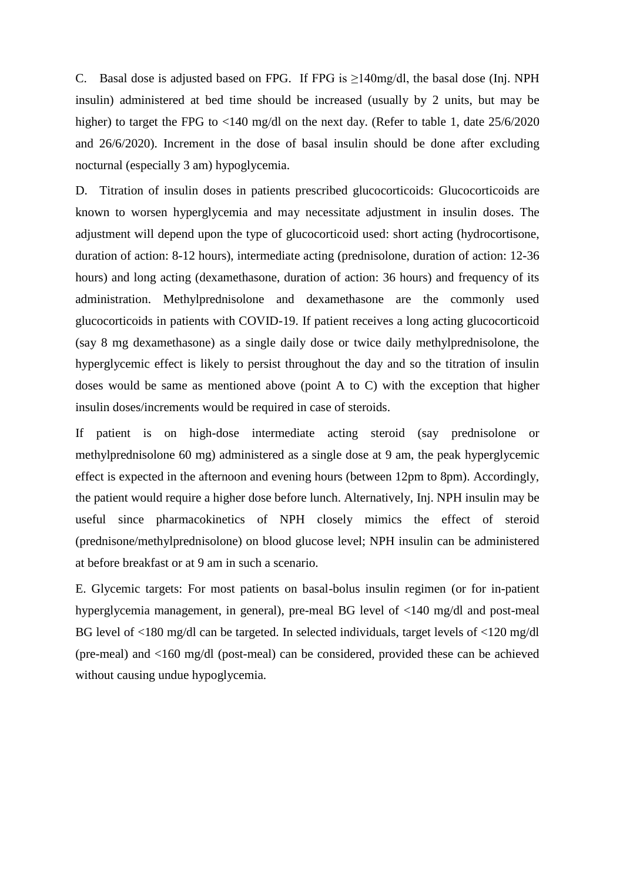C. Basal dose is adjusted based on FPG. If FPG is  $\geq$ 140mg/dl, the basal dose (Inj. NPH insulin) administered at bed time should be increased (usually by 2 units, but may be higher) to target the FPG to <140 mg/dl on the next day. (Refer to table 1, date  $25/6/2020$ and 26/6/2020). Increment in the dose of basal insulin should be done after excluding nocturnal (especially 3 am) hypoglycemia.

D. Titration of insulin doses in patients prescribed glucocorticoids: Glucocorticoids are known to worsen hyperglycemia and may necessitate adjustment in insulin doses. The adjustment will depend upon the type of glucocorticoid used: short acting (hydrocortisone, duration of action: 8-12 hours), intermediate acting (prednisolone, duration of action: 12-36 hours) and long acting (dexamethasone, duration of action: 36 hours) and frequency of its administration. Methylprednisolone and dexamethasone are the commonly used glucocorticoids in patients with COVID-19. If patient receives a long acting glucocorticoid (say 8 mg dexamethasone) as a single daily dose or twice daily methylprednisolone, the hyperglycemic effect is likely to persist throughout the day and so the titration of insulin doses would be same as mentioned above (point A to C) with the exception that higher insulin doses/increments would be required in case of steroids.

If patient is on high-dose intermediate acting steroid (say prednisolone or methylprednisolone 60 mg) administered as a single dose at 9 am, the peak hyperglycemic effect is expected in the afternoon and evening hours (between 12pm to 8pm). Accordingly, the patient would require a higher dose before lunch. Alternatively, Inj. NPH insulin may be useful since pharmacokinetics of NPH closely mimics the effect of steroid (prednisone/methylprednisolone) on blood glucose level; NPH insulin can be administered at before breakfast or at 9 am in such a scenario.

E. Glycemic targets: For most patients on basal-bolus insulin regimen (or for in-patient hyperglycemia management, in general), pre-meal BG level of <140 mg/dl and post-meal BG level of <180 mg/dl can be targeted. In selected individuals, target levels of <120 mg/dl (pre-meal) and <160 mg/dl (post-meal) can be considered, provided these can be achieved without causing undue hypoglycemia.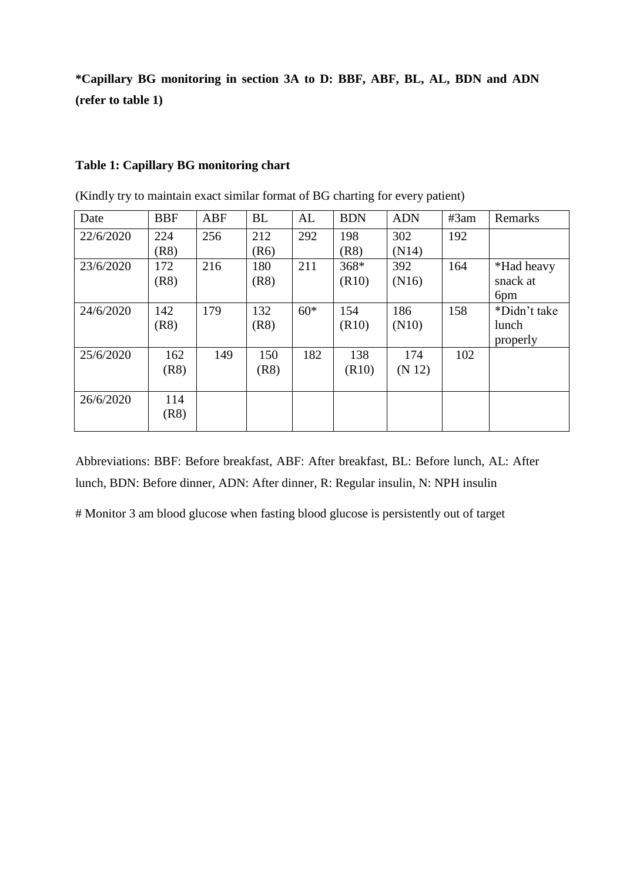**\*Capillary BG monitoring in section 3A to D: BBF, ABF, BL, AL, BDN and ADN (refer to table 1)**

## **Table 1: Capillary BG monitoring chart**

| Date      | <b>BBF</b> | <b>ABF</b> | <b>BL</b> | AL    | <b>BDN</b> | <b>ADN</b> | #3am | Remarks         |
|-----------|------------|------------|-----------|-------|------------|------------|------|-----------------|
| 22/6/2020 | 224        | 256        | 212       | 292   | 198        | 302        | 192  |                 |
|           | (R8)       |            | (R6)      |       | (R8)       | (N14)      |      |                 |
| 23/6/2020 | 172        | 216        | 180       | 211   | $368*$     | 392        | 164  | *Had heavy      |
|           | (R8)       |            | (R8)      |       | (R10)      | (N16)      |      | snack at        |
|           |            |            |           |       |            |            |      | 6 <sub>pm</sub> |
| 24/6/2020 | 142        | 179        | 132       | $60*$ | 154        | 186        | 158  | *Didn't take    |
|           | (R8)       |            | (R8)      |       | (R10)      | (N10)      |      | lunch           |
|           |            |            |           |       |            |            |      | properly        |
| 25/6/2020 | 162        | 149        | 150       | 182   | 138        | 174        | 102  |                 |
|           | (R8)       |            | (R8)      |       | (R10)      | (N 12)     |      |                 |
|           |            |            |           |       |            |            |      |                 |
| 26/6/2020 | 114        |            |           |       |            |            |      |                 |
|           | (R8)       |            |           |       |            |            |      |                 |
|           |            |            |           |       |            |            |      |                 |

(Kindly try to maintain exact similar format of BG charting for every patient)

Abbreviations: BBF: Before breakfast, ABF: After breakfast, BL: Before lunch, AL: After lunch, BDN: Before dinner, ADN: After dinner, R: Regular insulin, N: NPH insulin

# Monitor 3 am blood glucose when fasting blood glucose is persistently out of target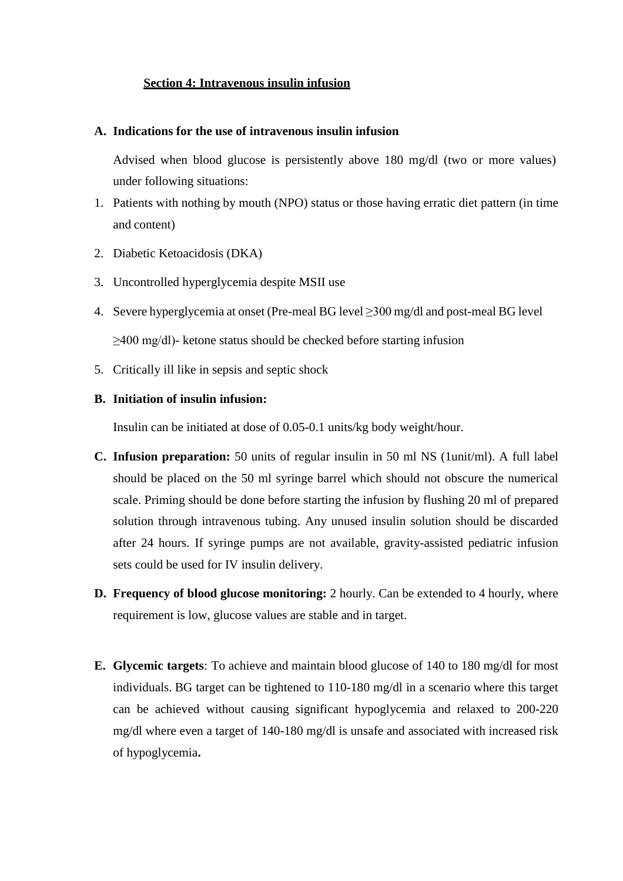#### **Section 4: Intravenous insulin infusion**

#### **A. Indications for the use of intravenous insulin infusion**

Advised when blood glucose is persistently above 180 mg/dl (two or more values) under following situations:

- 1. Patients with nothing by mouth (NPO) status or those having erratic diet pattern (in time and content)
- 2. Diabetic Ketoacidosis (DKA)
- 3. Uncontrolled hyperglycemia despite MSII use
- 4. Severe hyperglycemia at onset (Pre-meal BG level ≥300 mg/dl and post-meal BG level ≥400 mg/dl)- ketone status should be checked before starting infusion
- 5. Critically ill like in sepsis and septic shock

## **B. Initiation of insulin infusion:**

Insulin can be initiated at dose of 0.05-0.1 units/kg body weight/hour.

- **C. Infusion preparation:** 50 units of regular insulin in 50 ml NS (1unit/ml). A full label should be placed on the 50 ml syringe barrel which should not obscure the numerical scale. Priming should be done before starting the infusion by flushing 20 ml of prepared solution through intravenous tubing. Any unused insulin solution should be discarded after 24 hours. If syringe pumps are not available, gravity-assisted pediatric infusion sets could be used for IV insulin delivery.
- **D. Frequency of blood glucose monitoring:** 2 hourly. Can be extended to 4 hourly, where requirement is low, glucose values are stable and in target.
- **E. Glycemic targets**: To achieve and maintain blood glucose of 140 to 180 mg/dl for most individuals. BG target can be tightened to 110-180 mg/dl in a scenario where this target can be achieved without causing significant hypoglycemia and relaxed to 200-220 mg/dl where even a target of 140-180 mg/dl is unsafe and associated with increased risk of hypoglycemia**.**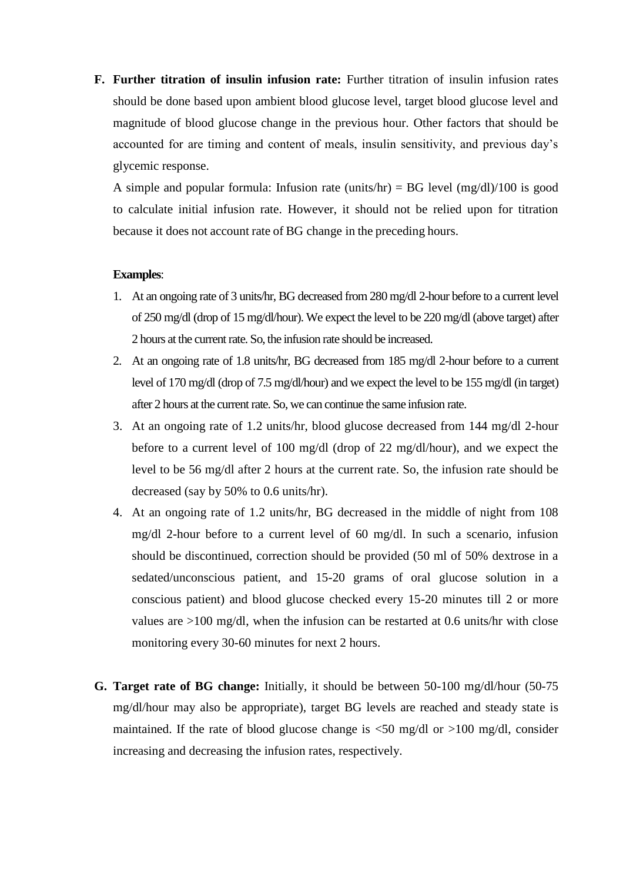**F. Further titration of insulin infusion rate:** Further titration of insulin infusion rates should be done based upon ambient blood glucose level, target blood glucose level and magnitude of blood glucose change in the previous hour. Other factors that should be accounted for are timing and content of meals, insulin sensitivity, and previous day's glycemic response.

A simple and popular formula: Infusion rate (units/hr) = BG level  $(mg/dl)/100$  is good to calculate initial infusion rate. However, it should not be relied upon for titration because it does not account rate of BG change in the preceding hours.

#### **Examples**:

- 1. At an ongoing rate of 3 units/hr, BG decreased from 280 mg/dl 2-hour before to a current level of 250 mg/dl (drop of 15 mg/dl/hour). We expect the level to be 220 mg/dl (above target) after 2 hours at the current rate. So, the infusion rate should be increased.
- 2. At an ongoing rate of 1.8 units/hr, BG decreased from 185 mg/dl 2-hour before to a current level of 170 mg/dl (drop of 7.5 mg/dl/hour) and we expect the level to be 155 mg/dl (in target) after 2 hours at the current rate. So, we can continue the same infusion rate.
- 3. At an ongoing rate of 1.2 units/hr, blood glucose decreased from 144 mg/dl 2-hour before to a current level of 100 mg/dl (drop of 22 mg/dl/hour), and we expect the level to be 56 mg/dl after 2 hours at the current rate. So, the infusion rate should be decreased (say by 50% to 0.6 units/hr).
- 4. At an ongoing rate of 1.2 units/hr, BG decreased in the middle of night from 108 mg/dl 2-hour before to a current level of 60 mg/dl. In such a scenario, infusion should be discontinued, correction should be provided (50 ml of 50% dextrose in a sedated/unconscious patient, and 15-20 grams of oral glucose solution in a conscious patient) and blood glucose checked every 15-20 minutes till 2 or more values are >100 mg/dl, when the infusion can be restarted at 0.6 units/hr with close monitoring every 30-60 minutes for next 2 hours.
- **G. Target rate of BG change:** Initially, it should be between 50-100 mg/dl/hour (50-75 mg/dl/hour may also be appropriate), target BG levels are reached and steady state is maintained. If the rate of blood glucose change is  $\leq 50$  mg/dl or  $>100$  mg/dl, consider increasing and decreasing the infusion rates, respectively.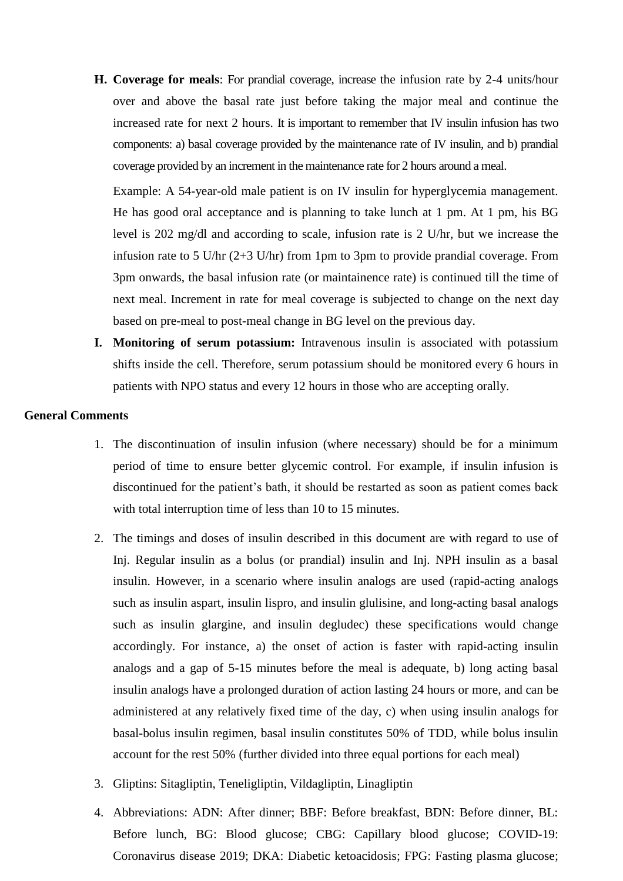**H. Coverage for meals**: For prandial coverage, increase the infusion rate by 2-4 units/hour over and above the basal rate just before taking the major meal and continue the increased rate for next 2 hours. It is important to remember that IV insulin infusion has two components: a) basal coverage provided by the maintenance rate of IV insulin, and b) prandial coverage provided by an increment in the maintenance rate for 2 hours around a meal.

Example: A 54-year-old male patient is on IV insulin for hyperglycemia management. He has good oral acceptance and is planning to take lunch at 1 pm. At 1 pm, his BG level is 202 mg/dl and according to scale, infusion rate is 2 U/hr, but we increase the infusion rate to 5 U/hr  $(2+3 \text{ U/hr})$  from 1pm to 3pm to provide prandial coverage. From 3pm onwards, the basal infusion rate (or maintainence rate) is continued till the time of next meal. Increment in rate for meal coverage is subjected to change on the next day based on pre-meal to post-meal change in BG level on the previous day.

**I. Monitoring of serum potassium:** Intravenous insulin is associated with potassium shifts inside the cell. Therefore, serum potassium should be monitored every 6 hours in patients with NPO status and every 12 hours in those who are accepting orally.

#### **General Comments**

- 1. The discontinuation of insulin infusion (where necessary) should be for a minimum period of time to ensure better glycemic control. For example, if insulin infusion is discontinued for the patient's bath, it should be restarted as soon as patient comes back with total interruption time of less than 10 to 15 minutes.
- 2. The timings and doses of insulin described in this document are with regard to use of Inj. Regular insulin as a bolus (or prandial) insulin and Inj. NPH insulin as a basal insulin. However, in a scenario where insulin analogs are used (rapid-acting analogs such as insulin aspart, insulin lispro, and insulin glulisine, and long-acting basal analogs such as insulin glargine, and insulin degludec) these specifications would change accordingly. For instance, a) the onset of action is faster with rapid-acting insulin analogs and a gap of 5-15 minutes before the meal is adequate, b) long acting basal insulin analogs have a prolonged duration of action lasting 24 hours or more, and can be administered at any relatively fixed time of the day, c) when using insulin analogs for basal-bolus insulin regimen, basal insulin constitutes 50% of TDD, while bolus insulin account for the rest 50% (further divided into three equal portions for each meal)
- 3. Gliptins: Sitagliptin, Teneligliptin, Vildagliptin, Linagliptin
- 4. Abbreviations: ADN: After dinner; BBF: Before breakfast, BDN: Before dinner, BL: Before lunch, BG: Blood glucose; CBG: Capillary blood glucose; COVID-19: Coronavirus disease 2019; DKA: Diabetic ketoacidosis; FPG: Fasting plasma glucose;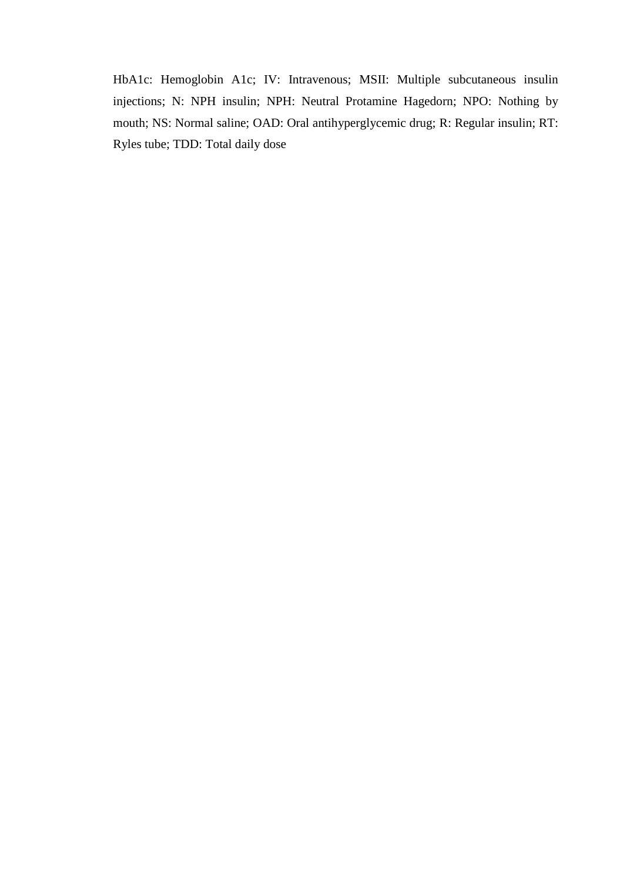HbA1c: Hemoglobin A1c; IV: Intravenous; MSII: Multiple subcutaneous insulin injections; N: NPH insulin; NPH: Neutral Protamine Hagedorn; NPO: Nothing by mouth; NS: Normal saline; OAD: Oral antihyperglycemic drug; R: Regular insulin; RT: Ryles tube; TDD: Total daily dose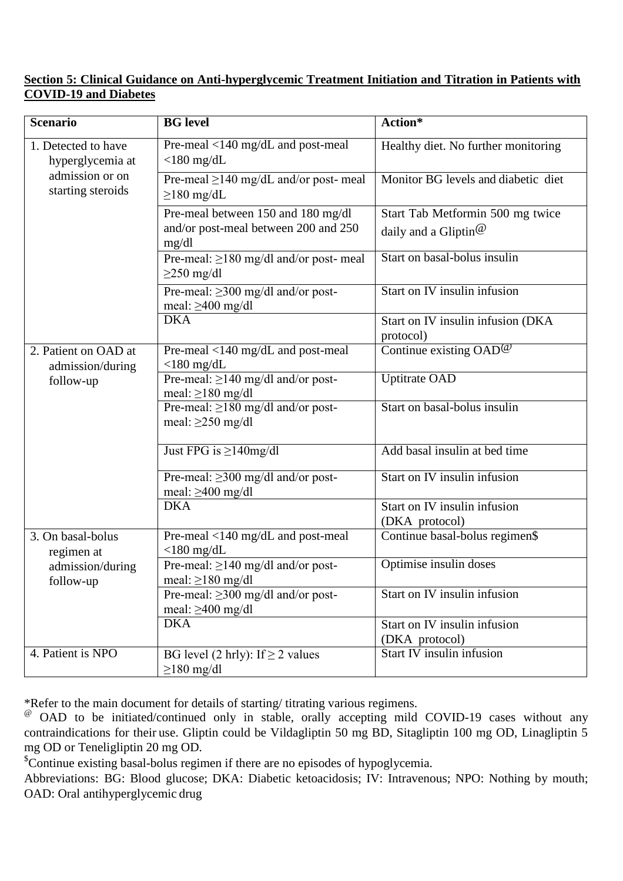# **Section 5: Clinical Guidance on Anti-hyperglycemic Treatment Initiation and Titration in Patients with COVID-19 and Diabetes**

| <b>Scenario</b>                          | <b>BG</b> level                                                                     | Action*                                                                           |  |  |
|------------------------------------------|-------------------------------------------------------------------------------------|-----------------------------------------------------------------------------------|--|--|
| 1. Detected to have<br>hyperglycemia at  | Pre-meal <140 mg/dL and post-meal<br>$<$ 180 mg/dL                                  | Healthy diet. No further monitoring                                               |  |  |
| admission or on<br>starting steroids     | Pre-meal $\geq$ 140 mg/dL and/or post- meal<br>$\geq$ 180 mg/dL                     | Monitor BG levels and diabetic diet                                               |  |  |
|                                          | Pre-meal between 150 and 180 mg/dl<br>and/or post-meal between 200 and 250<br>mg/dl | Start Tab Metformin 500 mg twice<br>daily and a Gliptin <sup><math>@</math></sup> |  |  |
|                                          | Pre-meal: ≥180 mg/dl and/or post- meal<br>$\geq$ 250 mg/dl                          | Start on basal-bolus insulin                                                      |  |  |
|                                          | Pre-meal: ≥300 mg/dl and/or post-<br>meal: $\geq$ 400 mg/dl                         | Start on IV insulin infusion                                                      |  |  |
|                                          | <b>DKA</b>                                                                          | Start on IV insulin infusion (DKA<br>protocol)                                    |  |  |
| 2. Patient on OAD at<br>admission/during | Pre-meal <140 mg/dL and post-meal<br>$<$ 180 mg/dL                                  | Continue existing $OAD^{\omega}$                                                  |  |  |
| follow-up                                | Pre-meal: $\geq$ 140 mg/dl and/or post-<br>meal: $\geq$ 180 mg/dl                   | <b>Uptitrate OAD</b>                                                              |  |  |
|                                          | Pre-meal: ≥180 mg/dl and/or post-<br>meal: $\geq$ 250 mg/dl                         | Start on basal-bolus insulin                                                      |  |  |
|                                          | Just FPG is $\geq$ 140mg/dl                                                         | Add basal insulin at bed time                                                     |  |  |
|                                          | Pre-meal: ≥300 mg/dl and/or post-<br>meal: $\geq 400$ mg/dl                         | Start on IV insulin infusion                                                      |  |  |
|                                          | <b>DKA</b>                                                                          | Start on IV insulin infusion<br>(DKA protocol)                                    |  |  |
| 3. On basal-bolus<br>regimen at          | Pre-meal <140 mg/dL and post-meal<br>$<$ 180 mg/dL                                  | Continue basal-bolus regimen\$                                                    |  |  |
| admission/during<br>follow-up            | Pre-meal: ≥140 mg/dl and/or post-<br>meal: $\geq$ 180 mg/dl                         | Optimise insulin doses                                                            |  |  |
|                                          | Pre-meal: $\geq$ 300 mg/dl and/or post-<br>meal: $\geq 400$ mg/dl                   | Start on IV insulin infusion                                                      |  |  |
|                                          | <b>DKA</b>                                                                          | Start on IV insulin infusion<br>(DKA protocol)                                    |  |  |
| 4. Patient is NPO                        | BG level (2 hrly): If $\geq$ 2 values<br>$\geq$ 180 mg/dl                           | Start IV insulin infusion                                                         |  |  |

\*Refer to the main document for details of starting/ titrating various regimens.

@ OAD to be initiated/continued only in stable, orally accepting mild COVID-19 cases without any contraindications for their use. Gliptin could be Vildagliptin 50 mg BD, Sitagliptin 100 mg OD, Linagliptin 5 mg OD or Teneligliptin 20 mg OD.

\$Continue existing basal-bolus regimen if there are no episodes of hypoglycemia.

Abbreviations: BG: Blood glucose; DKA: Diabetic ketoacidosis; IV: Intravenous; NPO: Nothing by mouth; OAD: Oral antihyperglycemic drug